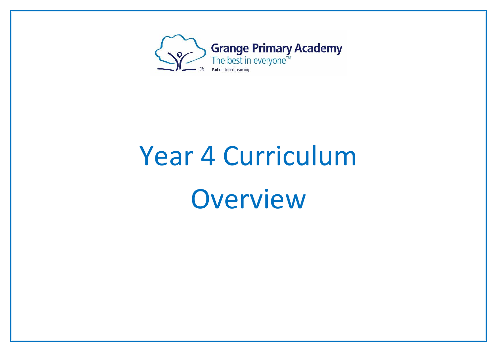

## Year 4 Curriculum Overview

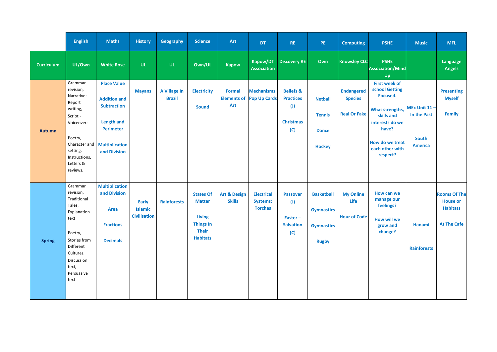|                   | <b>English</b>                                                                                                                                                         | <b>Maths</b>                                                                                                                                      | <b>History</b>                                        | Geography                     | <b>Science</b>                                                                                            | Art                                               | <b>DT</b>                                              | <b>RE</b>                                                                           | PE                                                                          | <b>Computing</b>                                           | <b>PSHE</b>                                                                                                                                                       | <b>Music</b>                                                  | <b>MFL</b>                                                                      |
|-------------------|------------------------------------------------------------------------------------------------------------------------------------------------------------------------|---------------------------------------------------------------------------------------------------------------------------------------------------|-------------------------------------------------------|-------------------------------|-----------------------------------------------------------------------------------------------------------|---------------------------------------------------|--------------------------------------------------------|-------------------------------------------------------------------------------------|-----------------------------------------------------------------------------|------------------------------------------------------------|-------------------------------------------------------------------------------------------------------------------------------------------------------------------|---------------------------------------------------------------|---------------------------------------------------------------------------------|
| <b>Curriculum</b> | UL/Own                                                                                                                                                                 | <b>White Rose</b>                                                                                                                                 | <b>UL</b>                                             | <b>UL</b>                     | Own/UL                                                                                                    | <b>Kapow</b>                                      | Kapow/DT<br><b>Association</b>                         | <b>Discovery RE</b>                                                                 | Own                                                                         | <b>Knowsley CLC</b>                                        | <b>PSHE</b><br><b>Association/Mind</b><br>Up                                                                                                                      |                                                               | <b>Language</b><br><b>Angels</b>                                                |
| <b>Autumn</b>     | Grammar<br>revision,<br>Narrative:<br>Report<br>writing,<br>Script -<br>Voiceovers<br>Poetry,<br>Character and<br>setting,<br>Instructions,<br>Letters &<br>reviews,   | <b>Place Value</b><br><b>Addition and</b><br><b>Subtraction</b><br><b>Length and</b><br><b>Perimeter</b><br><b>Multiplication</b><br>and Division | <b>Mayans</b>                                         | A Village In<br><b>Brazil</b> | <b>Electricity</b><br><b>Sound</b>                                                                        | <b>Formal</b><br><b>Elements of</b><br><b>Art</b> | <b>Mechanisms:</b><br><b>Pop Up Cards</b>              | <b>Beliefs &amp;</b><br><b>Practices</b><br>$\mathbf{U}$<br><b>Christmas</b><br>(C) | <b>Netball</b><br><b>Tennis</b><br><b>Dance</b><br><b>Hockey</b>            | <b>Endangered</b><br><b>Species</b><br><b>Real Or Fake</b> | <b>First week of</b><br>school Getting<br>Focused.<br>What strengths,<br>skills and<br>interests do we<br>have?<br>How do we treat<br>each other with<br>respect? | MEx Unit 11-<br>In the Past<br><b>South</b><br><b>America</b> | <b>Presenting</b><br><b>Myself</b><br><b>Family</b>                             |
| <b>Spring</b>     | Grammar<br>revision,<br>Traditional<br>Tales,<br>Explanation<br>text<br>Poetry,<br>Stories from<br>Different<br>Cultures,<br>Discussion<br>text,<br>Persuasive<br>text | <b>Multiplication</b><br>and Division<br><b>Area</b><br><b>Fractions</b><br><b>Decimals</b>                                                       | <b>Early</b><br><b>Islamic</b><br><b>Civilisation</b> | <b>Rainforests</b>            | <b>States Of</b><br><b>Matter</b><br><b>Living</b><br><b>Things In</b><br><b>Their</b><br><b>Habitats</b> | <b>Art &amp; Design</b><br><b>Skills</b>          | <b>Electrical</b><br><b>Systems:</b><br><b>Torches</b> | <b>Passover</b><br>$\mathbf{U}$<br>Easter $-$<br><b>Salvation</b><br>(C)            | <b>Basketball</b><br><b>Gymnastics</b><br><b>Gymnastics</b><br><b>Rugby</b> | <b>My Online</b><br><b>Life</b><br><b>Hour of Code</b>     | <b>How can we</b><br>manage our<br>feelings?<br><b>How will we</b><br>grow and<br>change?                                                                         | Hanami<br><b>Rainforests</b>                                  | <b>Rooms Of The</b><br><b>House or</b><br><b>Habitats</b><br><b>At The Cafe</b> |